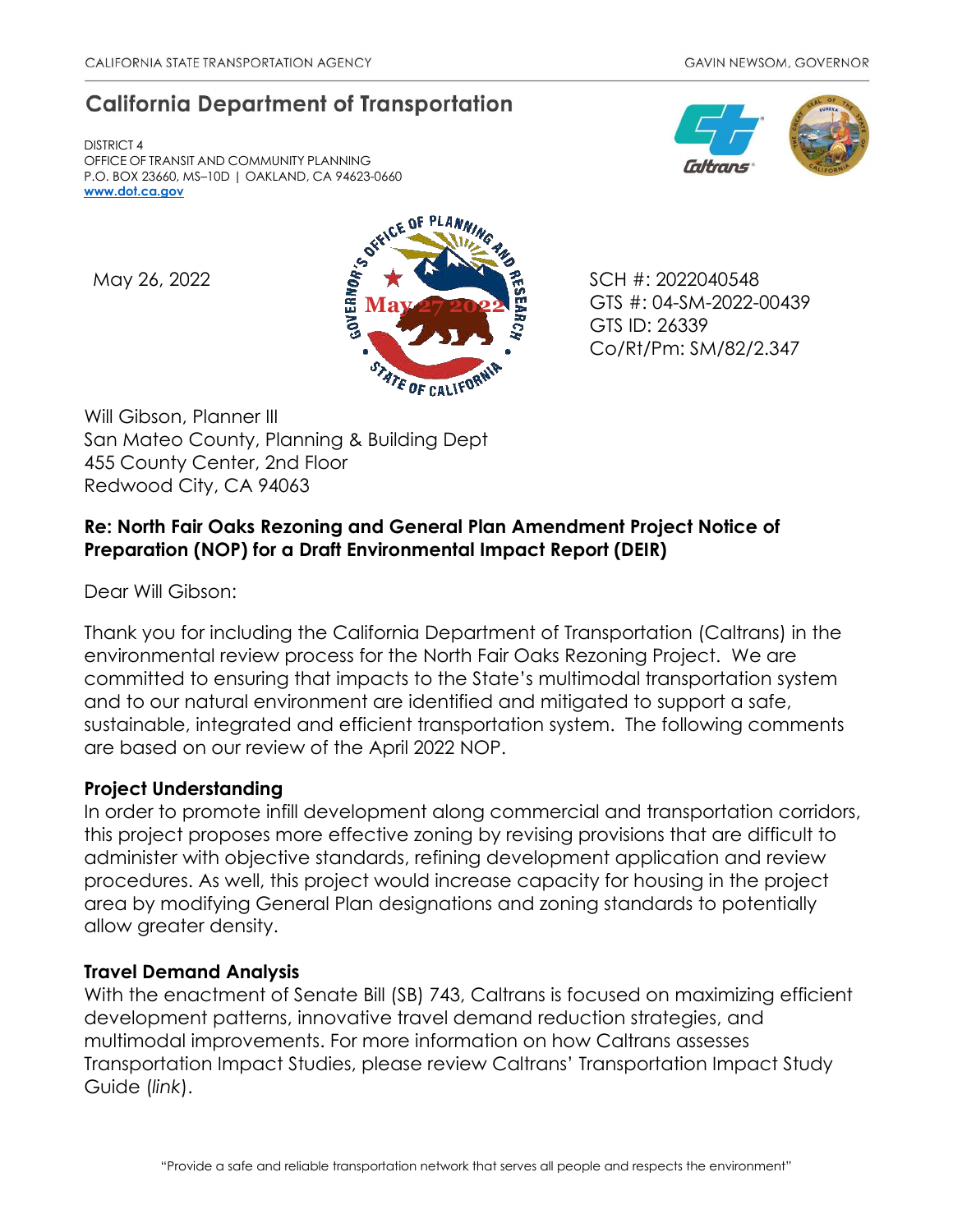# **California Department of Transportation**

DISTRICT 4 OFFICE OF TRANSIT AND COMMUNITY PLANNING P.O. BOX 23660, MS–10D | OAKLAND, CA 94623-0660 **[www.dot.ca.gov](http://www.dot.ca.gov/)**



GTS #: 04-SM-2022-00439 GTS ID: 26339 Co/Rt/Pm: SM/82/2.347

Will Gibson, Planner III San Mateo County, Planning & Building Dept 455 County Center, 2nd Floor Redwood City, CA 94063

# **Re: North Fair Oaks Rezoning and General Plan Amendment Project Notice of Preparation (NOP) for a Draft Environmental Impact Report (DEIR)**

Dear Will Gibson:

Thank you for including the California Department of Transportation (Caltrans) in the environmental review process for the North Fair Oaks Rezoning Project. We are committed to ensuring that impacts to the State's multimodal transportation system and to our natural environment are identified and mitigated to support a safe, sustainable, integrated and efficient transportation system. The following comments are based on our review of the April 2022 NOP.

# **Project Understanding**

In order to promote infill development along commercial and transportation corridors, this project proposes more effective zoning by revising provisions that are difficult to administer with objective standards, refining development application and review procedures. As well, this project would increase capacity for housing in the project area by modifying General Plan designations and zoning standards to potentially allow greater density.

# **Travel Demand Analysis**

With the enactment of Senate Bill (SB) 743, Caltrans is focused on maximizing efficient development patterns, innovative travel demand reduction strategies, and multimodal improvements. For more information on how Caltrans assesses Transportation Impact Studies, please review Caltrans' [Transportation Impact Study](https://dot.ca.gov/-/media/dot-media/programs/transportation-planning/documents/sb-743/2020-05-20-approved-vmt-focused-tisg-a11y.pdf)  [Guide \(](https://dot.ca.gov/-/media/dot-media/programs/transportation-planning/documents/sb-743/2020-05-20-approved-vmt-focused-tisg-a11y.pdf)*[link](https://dot.ca.gov/-/media/dot-media/programs/transportation-planning/documents/sb-743/2020-05-20-approved-vmt-focused-tisg-a11y.pdf)*[\).](https://dot.ca.gov/-/media/dot-media/programs/transportation-planning/documents/sb-743/2020-05-20-approved-vmt-focused-tisg-a11y.pdf)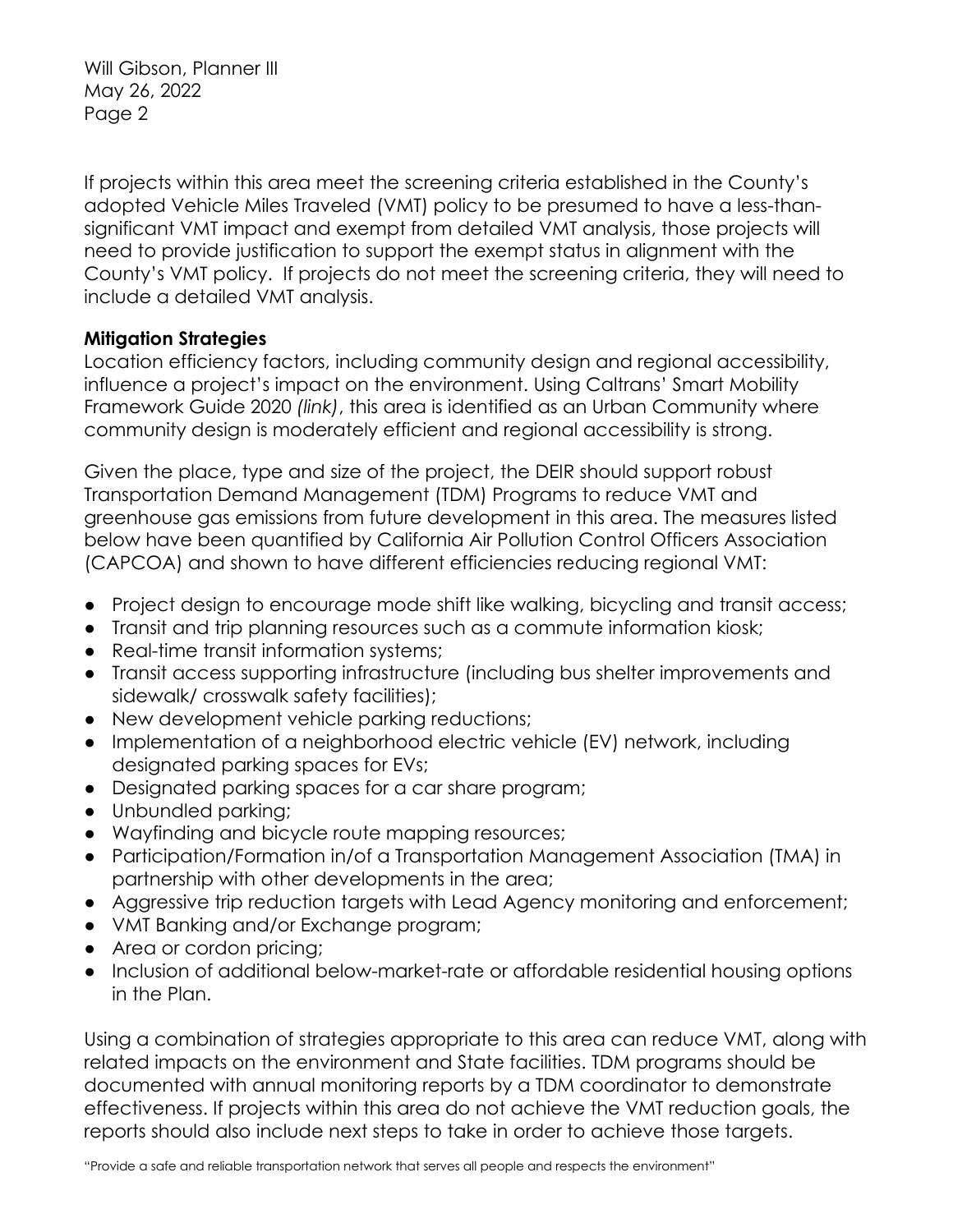Will Gibson, Planner III May 26, 2022 Page 2

If projects within this area meet the screening criteria established in the County's adopted Vehicle Miles Traveled (VMT) policy to be presumed to have a less-thansignificant VMT impact and exempt from detailed VMT analysis, those projects will need to provide justification to support the exempt status in alignment with the County's VMT policy. If projects do not meet the screening criteria, they will need to include a detailed VMT analysis.

### **Mitigation Strategies**

Location efficiency factors, including community design and regional accessibility, influence a project's impact on the environment. Using Caltrans' Smart Mobility Framework Guide 2020 *[\(link\)](https://transportationplanning.onramp.dot.ca.gov/downloads/transportationplanning/files/activetranstreets/final-smf-guide-110220-not-remediated-11-4.pdf)*, this area is identified as an Urban Community where community design is moderately efficient and regional accessibility is strong.

Given the place, type and size of the project, the DEIR should support robust Transportation Demand Management (TDM) Programs to reduce VMT and greenhouse gas emissions from future development in this area. The measures listed below have been quantified by California Air Pollution Control Officers Association (CAPCOA) and shown to have different efficiencies reducing regional VMT:

- Project design to encourage mode shift like walking, bicycling and transit access;
- Transit and trip planning resources such as a commute information kiosk;
- Real-time transit information systems;
- Transit access supporting infrastructure (including bus shelter improvements and sidewalk/ crosswalk safety facilities);
- New development vehicle parking reductions;
- Implementation of a neighborhood electric vehicle (EV) network, including designated parking spaces for EVs;
- Designated parking spaces for a car share program;
- Unbundled parking;
- Wayfinding and bicycle route mapping resources;
- Participation/Formation in/of a Transportation Management Association (TMA) in partnership with other developments in the area;
- Aggressive trip reduction targets with Lead Agency monitoring and enforcement;
- VMT Banking and/or Exchange program;
- Area or cordon pricing;
- Inclusion of additional below-market-rate or affordable residential housing options in the Plan.

Using a combination of strategies appropriate to this area can reduce VMT, along with related impacts on the environment and State facilities. TDM programs should be documented with annual monitoring reports by a TDM coordinator to demonstrate effectiveness. If projects within this area do not achieve the VMT reduction goals, the reports should also include next steps to take in order to achieve those targets.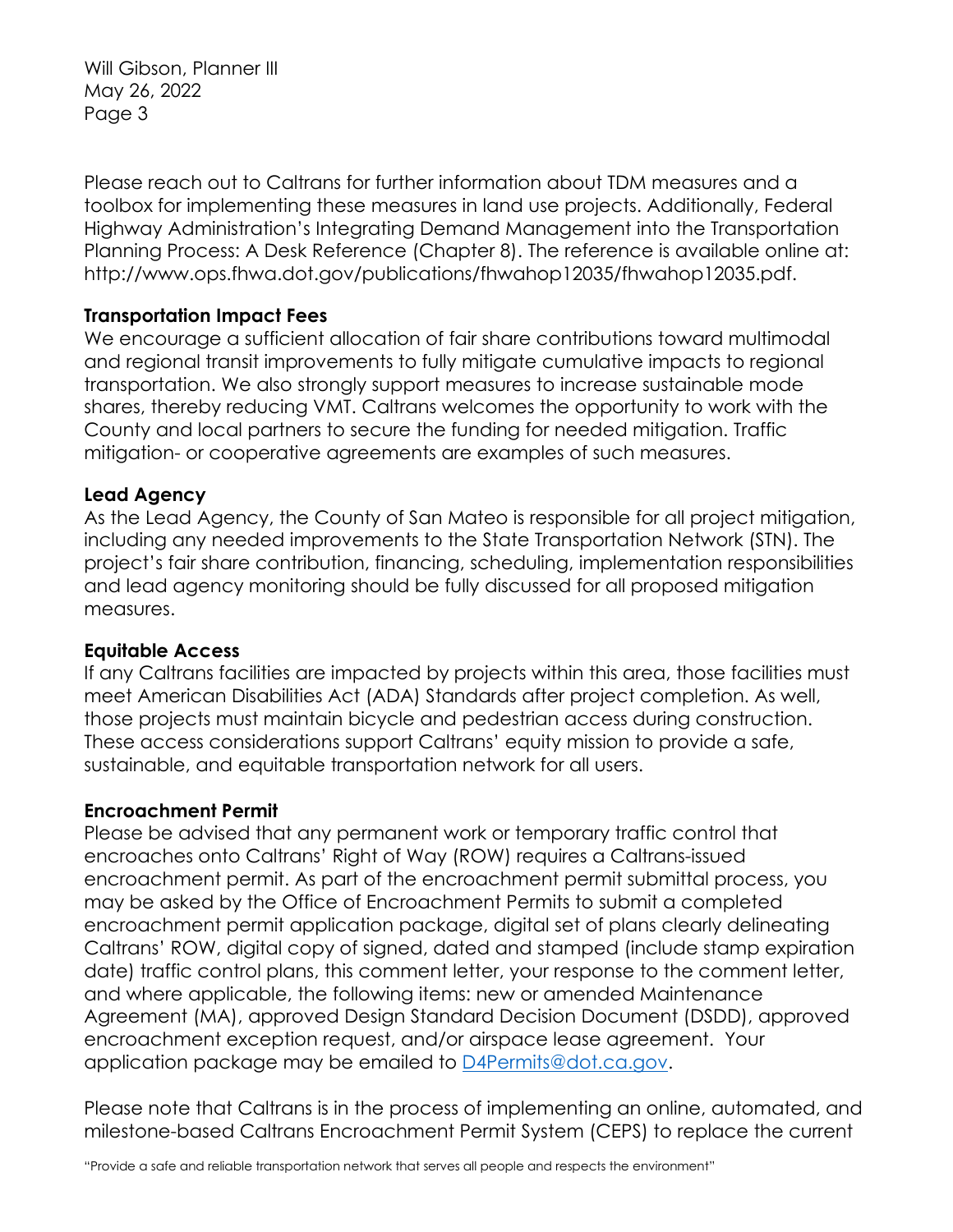Will Gibson, Planner III May 26, 2022 Page 3

Please reach out to Caltrans for further information about TDM measures and a toolbox for implementing these measures in land use projects. Additionally, Federal Highway Administration's Integrating Demand Management into the Transportation Planning Process: A Desk Reference (Chapter 8). The reference is available online at: http://www.ops.fhwa.dot.gov/publications/fhwahop12035/fhwahop12035.pdf.

### **Transportation Impact Fees**

We encourage a sufficient allocation of fair share contributions toward multimodal and regional transit improvements to fully mitigate cumulative impacts to regional transportation. We also strongly support measures to increase sustainable mode shares, thereby reducing VMT. Caltrans welcomes the opportunity to work with the County and local partners to secure the funding for needed mitigation. Traffic mitigation- or cooperative agreements are examples of such measures.

#### **Lead Agency**

As the Lead Agency, the County of San Mateo is responsible for all project mitigation, including any needed improvements to the State Transportation Network (STN). The project's fair share contribution, financing, scheduling, implementation responsibilities and lead agency monitoring should be fully discussed for all proposed mitigation measures.

#### **Equitable Access**

If any Caltrans facilities are impacted by projects within this area, those facilities must meet American Disabilities Act (ADA) Standards after project completion. As well, those projects must maintain bicycle and pedestrian access during construction. These access considerations support Caltrans' equity mission to provide a safe, sustainable, and equitable transportation network for all users.

#### **Encroachment Permit**

Please be advised that any permanent work or temporary traffic control that encroaches onto Caltrans' Right of Way (ROW) requires a Caltrans-issued encroachment permit. As part of the encroachment permit submittal process, you may be asked by the Office of Encroachment Permits to submit a completed encroachment permit application package, digital set of plans clearly delineating Caltrans' ROW, digital copy of signed, dated and stamped (include stamp expiration date) traffic control plans, this comment letter, your response to the comment letter, and where applicable, the following items: new or amended Maintenance Agreement (MA), approved Design Standard Decision Document (DSDD), approved encroachment exception request, and/or airspace lease agreement. Your application package may be emailed to [D4Permits@dot.ca.gov.](mailto:D4Permits@dot.ca.gov)

Please note that Caltrans is in the process of implementing an online, automated, and milestone-based Caltrans Encroachment Permit System (CEPS) to replace the current